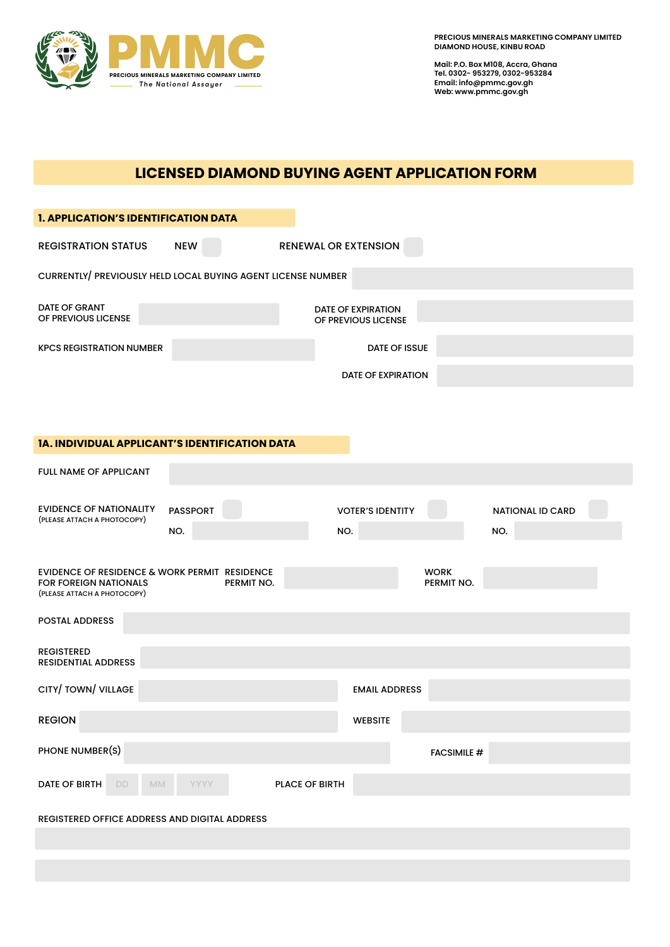

**Mail: P.O. Box M108, Accra, Ghana Tel. 0302- 953279, 0302-953284 Email: info@pmmc.gov.gh Web: www.pmmc.gov.gh**

## **LICENSED DIAMOND BUYING AGENT APPLICATION FORM**

| <b>1. APPLICATION'S IDENTIFICATION DATA</b>                                                           |                 |             |            |                             |                                                  |  |                           |     |                         |  |
|-------------------------------------------------------------------------------------------------------|-----------------|-------------|------------|-----------------------------|--------------------------------------------------|--|---------------------------|-----|-------------------------|--|
| <b>REGISTRATION STATUS</b>                                                                            | <b>NEW</b>      |             |            | <b>RENEWAL OR EXTENSION</b> |                                                  |  |                           |     |                         |  |
| CURRENTLY/ PREVIOUSLY HELD LOCAL BUYING AGENT LICENSE NUMBER                                          |                 |             |            |                             |                                                  |  |                           |     |                         |  |
| DATE OF GRANT<br>OF PREVIOUS LICENSE                                                                  |                 |             |            |                             | <b>DATE OF EXPIRATION</b><br>OF PREVIOUS LICENSE |  |                           |     |                         |  |
| <b>KPCS REGISTRATION NUMBER</b><br><b>DATE OF ISSUE</b>                                               |                 |             |            |                             |                                                  |  |                           |     |                         |  |
|                                                                                                       |                 |             |            |                             | <b>DATE OF EXPIRATION</b>                        |  |                           |     |                         |  |
|                                                                                                       |                 |             |            |                             |                                                  |  |                           |     |                         |  |
| 1A. INDIVIDUAL APPLICANT'S IDENTIFICATION DATA                                                        |                 |             |            |                             |                                                  |  |                           |     |                         |  |
| <b>FULL NAME OF APPLICANT</b>                                                                         |                 |             |            |                             |                                                  |  |                           |     |                         |  |
| <b>EVIDENCE OF NATIONALITY</b><br>(PLEASE ATTACH A PHOTOCOPY)                                         | <b>PASSPORT</b> |             |            |                             | <b>VOTER'S IDENTITY</b>                          |  |                           |     | <b>NATIONAL ID CARD</b> |  |
|                                                                                                       | NO.             |             |            | NO.                         |                                                  |  |                           | NO. |                         |  |
| EVIDENCE OF RESIDENCE & WORK PERMIT RESIDENCE<br>FOR FOREIGN NATIONALS<br>(PLEASE ATTACH A PHOTOCOPY) |                 |             | PERMIT NO. |                             |                                                  |  | <b>WORK</b><br>PERMIT NO. |     |                         |  |
| <b>POSTAL ADDRESS</b>                                                                                 |                 |             |            |                             |                                                  |  |                           |     |                         |  |
| <b>REGISTERED</b><br><b>RESIDENTIAL ADDRESS</b>                                                       |                 |             |            |                             |                                                  |  |                           |     |                         |  |
| CITY/ TOWN/ VILLAGE                                                                                   |                 |             |            |                             | <b>EMAIL ADDRESS</b>                             |  |                           |     |                         |  |
| <b>REGION</b>                                                                                         |                 |             |            |                             | <b>WEBSITE</b>                                   |  |                           |     |                         |  |
| PHONE NUMBER(S)                                                                                       |                 |             |            |                             |                                                  |  | <b>FACSIMILE #</b>        |     |                         |  |
| <b>DATE OF BIRTH</b><br>DD.                                                                           | MM              | <b>YYYY</b> |            | <b>PLACE OF BIRTH</b>       |                                                  |  |                           |     |                         |  |
| REGISTERED OFFICE ADDRESS AND DIGITAL ADDRESS                                                         |                 |             |            |                             |                                                  |  |                           |     |                         |  |
|                                                                                                       |                 |             |            |                             |                                                  |  |                           |     |                         |  |
|                                                                                                       |                 |             |            |                             |                                                  |  |                           |     |                         |  |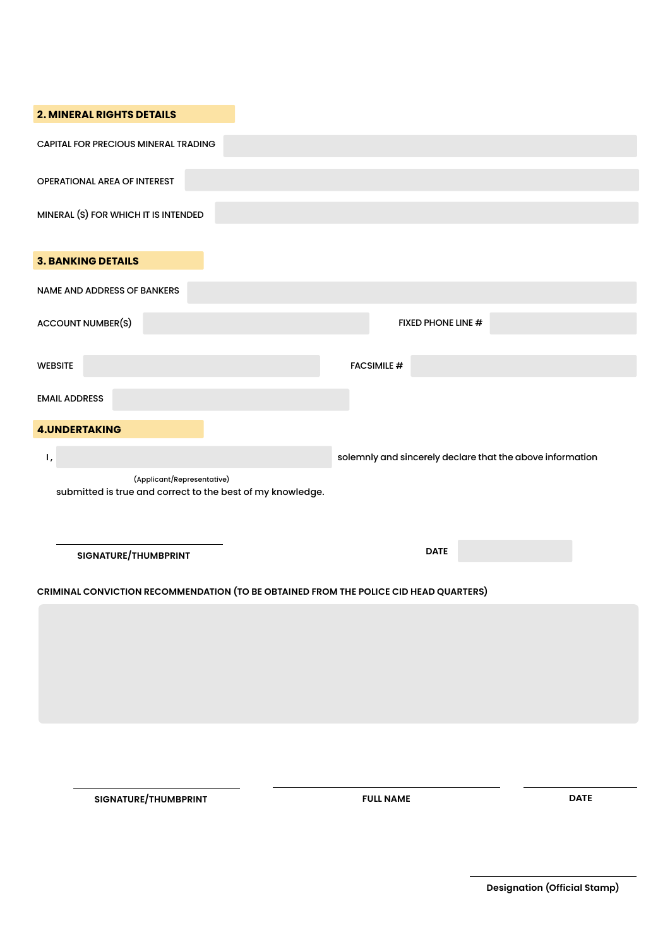| <b>2. MINERAL RIGHTS DETAILS</b>                                                         |                                                           |             |
|------------------------------------------------------------------------------------------|-----------------------------------------------------------|-------------|
| CAPITAL FOR PRECIOUS MINERAL TRADING                                                     |                                                           |             |
| OPERATIONAL AREA OF INTEREST                                                             |                                                           |             |
| MINERAL (S) FOR WHICH IT IS INTENDED                                                     |                                                           |             |
| <b>3. BANKING DETAILS</b>                                                                |                                                           |             |
| NAME AND ADDRESS OF BANKERS                                                              |                                                           |             |
| <b>ACCOUNT NUMBER(S)</b>                                                                 | FIXED PHONE LINE #                                        |             |
| <b>WEBSITE</b>                                                                           | <b>FACSIMILE #</b>                                        |             |
| <b>EMAIL ADDRESS</b>                                                                     |                                                           |             |
| <b>4.UNDERTAKING</b>                                                                     |                                                           |             |
| Ι,                                                                                       | solemnly and sincerely declare that the above information |             |
| (Applicant/Representative)<br>submitted is true and correct to the best of my knowledge. |                                                           |             |
|                                                                                          |                                                           |             |
| SIGNATURE/THUMBPRINT                                                                     | <b>DATE</b>                                               |             |
| CRIMINAL CONVICTION RECOMMENDATION (TO BE OBTAINED FROM THE POLICE CID HEAD QUARTERS)    |                                                           |             |
|                                                                                          |                                                           |             |
|                                                                                          |                                                           |             |
|                                                                                          |                                                           |             |
|                                                                                          |                                                           |             |
|                                                                                          |                                                           |             |
|                                                                                          |                                                           |             |
| SIGNATURE/THUMBPRINT                                                                     | <b>FULL NAME</b>                                          | <b>DATE</b> |